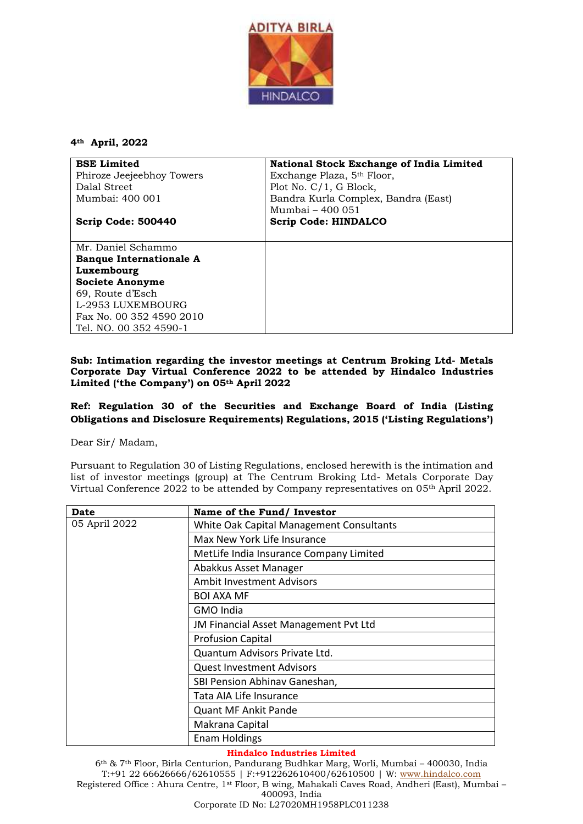

**4th April, 2022**

| <b>BSE Limited</b>             | National Stock Exchange of India Limited |
|--------------------------------|------------------------------------------|
| Phiroze Jeejeebhoy Towers      | Exchange Plaza, 5 <sup>th</sup> Floor,   |
| Dalal Street                   | Plot No. $C/1$ , G Block,                |
| Mumbai: 400 001                | Bandra Kurla Complex, Bandra (East)      |
|                                | Mumbai - 400 051                         |
| Scrip Code: 500440             | <b>Scrip Code: HINDALCO</b>              |
|                                |                                          |
| Mr. Daniel Schammo             |                                          |
| <b>Banque Internationale A</b> |                                          |
| Luxembourg                     |                                          |
| <b>Societe Anonyme</b>         |                                          |
| 69, Route d'Esch               |                                          |
| L-2953 LUXEMBOURG              |                                          |
| Fax No. 00 352 4590 2010       |                                          |
| Tel. NO. 00 352 4590-1         |                                          |

## **Sub: Intimation regarding the investor meetings at Centrum Broking Ltd- Metals Corporate Day Virtual Conference 2022 to be attended by Hindalco Industries Limited ('the Company') on 05th April 2022**

## **Ref: Regulation 30 of the Securities and Exchange Board of India (Listing Obligations and Disclosure Requirements) Regulations, 2015 ('Listing Regulations')**

Dear Sir/ Madam,

Pursuant to Regulation 30 of Listing Regulations, enclosed herewith is the intimation and list of investor meetings (group) at The Centrum Broking Ltd- Metals Corporate Day Virtual Conference 2022 to be attended by Company representatives on 05<sup>th</sup> April 2022.

| Date          | Name of the Fund/ Investor               |
|---------------|------------------------------------------|
| 05 April 2022 | White Oak Capital Management Consultants |
|               | Max New York Life Insurance              |
|               | MetLife India Insurance Company Limited  |
|               | Abakkus Asset Manager                    |
|               | <b>Ambit Investment Advisors</b>         |
|               | <b>BOI AXA MF</b>                        |
|               | GMO India                                |
|               | JM Financial Asset Management Pvt Ltd    |
|               | <b>Profusion Capital</b>                 |
|               | Quantum Advisors Private Ltd.            |
|               | Quest Investment Advisors                |
|               | SBI Pension Abhinav Ganeshan,            |
|               | Tata AIA Life Insurance                  |
|               | <b>Quant MF Ankit Pande</b>              |
|               | Makrana Capital                          |
|               | <b>Enam Holdings</b>                     |

## **Hindalco Industries Limited**

6th & 7th Floor, Birla Centurion, Pandurang Budhkar Marg, Worli, Mumbai – 400030, India T:+91 22 66626666/62610555 | F:+912262610400/62610500 | W: [www.hindalco.com](http://www.hindalco.com/) Registered Office : Ahura Centre, 1st Floor, B wing, Mahakali Caves Road, Andheri (East), Mumbai – 400093, India Corporate ID No: L27020MH1958PLC011238